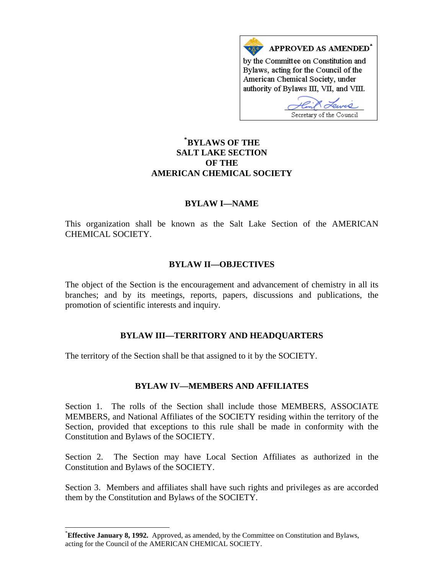

# **\* [BYLAWS OF THE](#page-0-0)  SALT LAKE SECTION OF THE AMERICAN CHEMICAL SOCIETY**

### **BYLAW I—NAME**

This organization shall be known as the Salt Lake Section of the AMERICAN CHEMICAL SOCIETY.

#### **BYLAW II—OBJECTIVES**

The object of the Section is the encouragement and advancement of chemistry in all its branches; and by its meetings, reports, papers, discussions and publications, the promotion of scientific interests and inquiry.

#### **BYLAW III—TERRITORY AND HEADQUARTERS**

The territory of the Section shall be that assigned to it by the SOCIETY.

#### **BYLAW IV—MEMBERS AND AFFILIATES**

Section 1. The rolls of the Section shall include those MEMBERS, ASSOCIATE MEMBERS, and National Affiliates of the SOCIETY residing within the territory of the Section, provided that exceptions to this rule shall be made in conformity with the Constitution and Bylaws of the SOCIETY.

Section 2. The Section may have Local Section Affiliates as authorized in the Constitution and Bylaws of the SOCIETY.

Section 3. Members and affiliates shall have such rights and privileges as are accorded them by the Constitution and Bylaws of the SOCIETY.

 $\overline{a}$ 

<span id="page-0-0"></span><sup>\*</sup> **Effective January 8, 1992.** Approved, as amended, by the Committee on Constitution and Bylaws, acting for the Council of the AMERICAN CHEMICAL SOCIETY.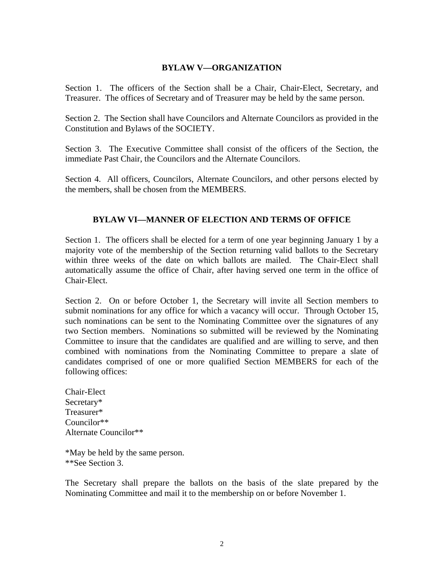#### **BYLAW V—ORGANIZATION**

Section 1. The officers of the Section shall be a Chair, Chair-Elect, Secretary, and Treasurer. The offices of Secretary and of Treasurer may be held by the same person.

Section 2. The Section shall have Councilors and Alternate Councilors as provided in the Constitution and Bylaws of the SOCIETY.

Section 3. The Executive Committee shall consist of the officers of the Section, the immediate Past Chair, the Councilors and the Alternate Councilors.

Section 4. All officers, Councilors, Alternate Councilors, and other persons elected by the members, shall be chosen from the MEMBERS.

## **BYLAW VI—MANNER OF ELECTION AND TERMS OF OFFICE**

Section 1. The officers shall be elected for a term of one year beginning January 1 by a majority vote of the membership of the Section returning valid ballots to the Secretary within three weeks of the date on which ballots are mailed. The Chair-Elect shall automatically assume the office of Chair, after having served one term in the office of Chair-Elect.

Section 2. On or before October 1, the Secretary will invite all Section members to submit nominations for any office for which a vacancy will occur. Through October 15, such nominations can be sent to the Nominating Committee over the signatures of any two Section members. Nominations so submitted will be reviewed by the Nominating Committee to insure that the candidates are qualified and are willing to serve, and then combined with nominations from the Nominating Committee to prepare a slate of candidates comprised of one or more qualified Section MEMBERS for each of the following offices:

Chair-Elect Secretary\* Treasurer\* Councilor\*\* Alternate Councilor\*\*

\*May be held by the same person. \*\*See Section 3.

The Secretary shall prepare the ballots on the basis of the slate prepared by the Nominating Committee and mail it to the membership on or before November 1.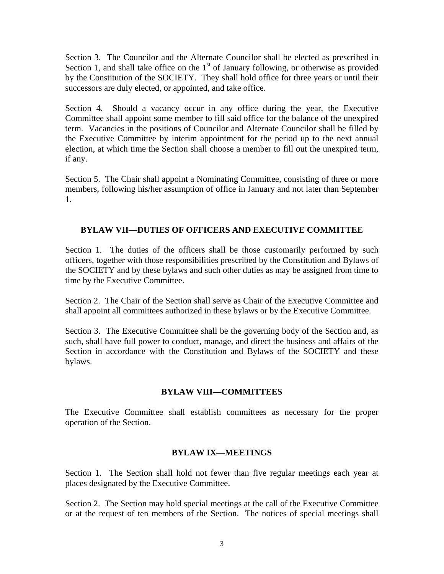Section 3. The Councilor and the Alternate Councilor shall be elected as prescribed in Section 1, and shall take office on the  $1<sup>st</sup>$  of January following, or otherwise as provided by the Constitution of the SOCIETY. They shall hold office for three years or until their successors are duly elected, or appointed, and take office.

Section 4. Should a vacancy occur in any office during the year, the Executive Committee shall appoint some member to fill said office for the balance of the unexpired term. Vacancies in the positions of Councilor and Alternate Councilor shall be filled by the Executive Committee by interim appointment for the period up to the next annual election, at which time the Section shall choose a member to fill out the unexpired term, if any.

Section 5. The Chair shall appoint a Nominating Committee, consisting of three or more members, following his/her assumption of office in January and not later than September 1.

## **BYLAW VII—DUTIES OF OFFICERS AND EXECUTIVE COMMITTEE**

Section 1. The duties of the officers shall be those customarily performed by such officers, together with those responsibilities prescribed by the Constitution and Bylaws of the SOCIETY and by these bylaws and such other duties as may be assigned from time to time by the Executive Committee.

Section 2. The Chair of the Section shall serve as Chair of the Executive Committee and shall appoint all committees authorized in these bylaws or by the Executive Committee.

Section 3. The Executive Committee shall be the governing body of the Section and, as such, shall have full power to conduct, manage, and direct the business and affairs of the Section in accordance with the Constitution and Bylaws of the SOCIETY and these bylaws.

## **BYLAW VIII—COMMITTEES**

The Executive Committee shall establish committees as necessary for the proper operation of the Section.

## **BYLAW IX—MEETINGS**

Section 1. The Section shall hold not fewer than five regular meetings each year at places designated by the Executive Committee.

Section 2. The Section may hold special meetings at the call of the Executive Committee or at the request of ten members of the Section. The notices of special meetings shall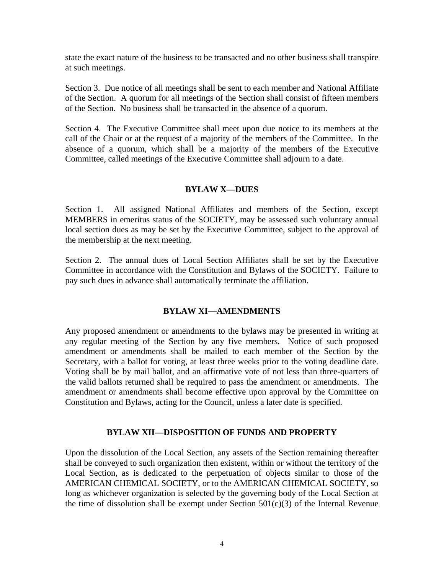state the exact nature of the business to be transacted and no other business shall transpire at such meetings.

Section 3. Due notice of all meetings shall be sent to each member and National Affiliate of the Section. A quorum for all meetings of the Section shall consist of fifteen members of the Section. No business shall be transacted in the absence of a quorum.

Section 4. The Executive Committee shall meet upon due notice to its members at the call of the Chair or at the request of a majority of the members of the Committee. In the absence of a quorum, which shall be a majority of the members of the Executive Committee, called meetings of the Executive Committee shall adjourn to a date.

### **BYLAW X—DUES**

Section 1. All assigned National Affiliates and members of the Section, except MEMBERS in emeritus status of the SOCIETY, may be assessed such voluntary annual local section dues as may be set by the Executive Committee, subject to the approval of the membership at the next meeting.

Section 2. The annual dues of Local Section Affiliates shall be set by the Executive Committee in accordance with the Constitution and Bylaws of the SOCIETY. Failure to pay such dues in advance shall automatically terminate the affiliation.

## **BYLAW XI—AMENDMENTS**

Any proposed amendment or amendments to the bylaws may be presented in writing at any regular meeting of the Section by any five members. Notice of such proposed amendment or amendments shall be mailed to each member of the Section by the Secretary, with a ballot for voting, at least three weeks prior to the voting deadline date. Voting shall be by mail ballot, and an affirmative vote of not less than three-quarters of the valid ballots returned shall be required to pass the amendment or amendments. The amendment or amendments shall become effective upon approval by the Committee on Constitution and Bylaws, acting for the Council, unless a later date is specified.

#### **BYLAW XII—DISPOSITION OF FUNDS AND PROPERTY**

Upon the dissolution of the Local Section, any assets of the Section remaining thereafter shall be conveyed to such organization then existent, within or without the territory of the Local Section, as is dedicated to the perpetuation of objects similar to those of the AMERICAN CHEMICAL SOCIETY, or to the AMERICAN CHEMICAL SOCIETY, so long as whichever organization is selected by the governing body of the Local Section at the time of dissolution shall be exempt under Section  $501(c)(3)$  of the Internal Revenue